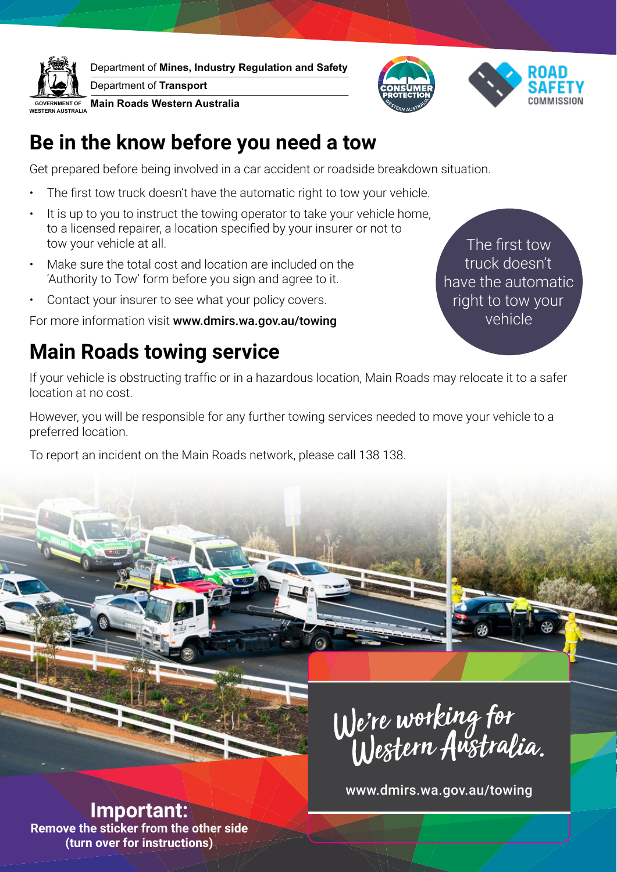

Department of **Mines, Industry Regulation and Safety**

Department of **Transport**

**Main Roads Western Australia** 



#### **Be in the know before you need a tow**

Get prepared before being involved in a car accident or roadside breakdown situation.

- The first tow truck doesn't have the automatic right to tow your vehicle.
- It is up to you to instruct the towing operator to take your vehicle home, to a licensed repairer, a location specified by your insurer or not to tow your vehicle at all.
- Make sure the total cost and location are included on the 'Authority to Tow' form before you sign and agree to it.
- Contact your insurer to see what your policy covers.

For more information visit www.dmirs.wa.gov.au/towing

## **Main Roads towing service**

The first tow truck doesn't have the automatic right to tow your vehicle

If your vehicle is obstructing traffic or in a hazardous location, Main Roads may relocate it to a safer location at no cost.

However, you will be responsible for any further towing services needed to move your vehicle to a preferred location.

To report an incident on the Main Roads network, please call 138 138.



www.dmirs.wa.gov.au/towing

**Important: Remove the sticker from the other side (turn over for instructions)**